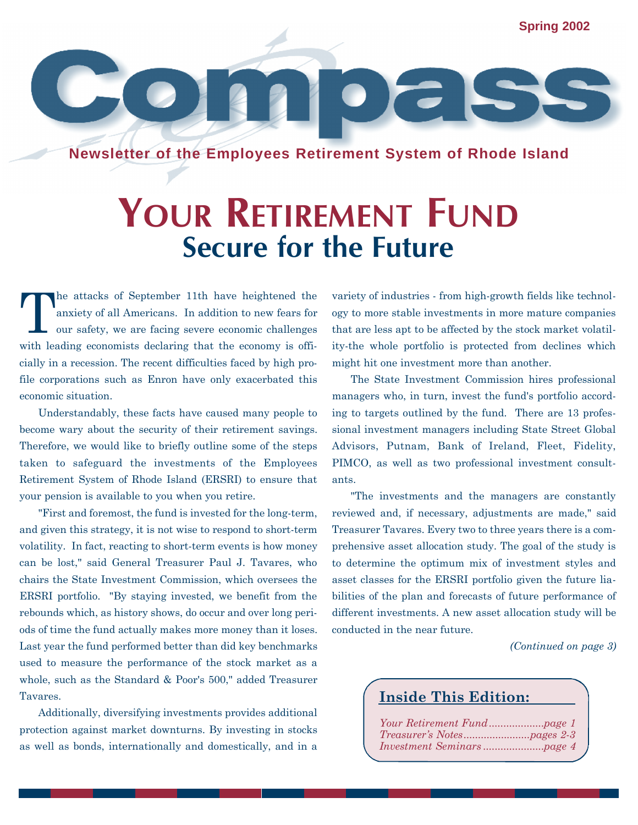**Spring 2002**

**Newsletter of the Employees Retirement System of Rhode Island**

## **YOUR RETIREMENT FUND Secure for the Future**

T he attacks of September 11th have heightened the anxiety of all Americans. In addition to new fears for our safety, we are facing severe economic challenges with leading economists declaring that the economy is officially in a recession. The recent difficulties faced by high profile corporations such as Enron have only exacerbated this economic situation.

Understandably, these facts have caused many people to become wary about the security of their retirement savings. Therefore, we would like to briefly outline some of the steps taken to safeguard the investments of the Employees Retirement System of Rhode Island (ERSRI) to ensure that your pension is available to you when you retire.

"First and foremost, the fund is invested for the long-term, and given this strategy, it is not wise to respond to short-term volatility. In fact, reacting to short-term events is how money can be lost," said General Treasurer Paul J. Tavares, who chairs the State Investment Commission, which oversees the ERSRI portfolio. "By staying invested, we benefit from the rebounds which, as history shows, do occur and over long periods of time the fund actually makes more money than it loses. Last year the fund performed better than did key benchmarks used to measure the performance of the stock market as a whole, such as the Standard & Poor's 500," added Treasurer Tavares.

Additionally, diversifying investments provides additional protection against market downturns. By investing in stocks as well as bonds, internationally and domestically, and in a

variety of industries - from high-growth fields like technology to more stable investments in more mature companies that are less apt to be affected by the stock market volatility-the whole portfolio is protected from declines which might hit one investment more than another.

 $\overline{\bullet}$ 

The State Investment Commission hires professional managers who, in turn, invest the fund's portfolio according to targets outlined by the fund. There are 13 professional investment managers including State Street Global Advisors, Putnam, Bank of Ireland, Fleet, Fidelity, PIMCO, as well as two professional investment consultants.

"The investments and the managers are constantly reviewed and, if necessary, adjustments are made," said Treasurer Tavares. Every two to three years there is a comprehensive asset allocation study. The goal of the study is to determine the optimum mix of investment styles and asset classes for the ERSRI portfolio given the future liabilities of the plan and forecasts of future performance of different investments. A new asset allocation study will be conducted in the near future.

*(Continued on page 3)*

## **Inside This Edition:**

*Your Retirement Fund...................page 1 Treasurer's Notes.......................pages 2-3 Investment Seminars .....................page 4*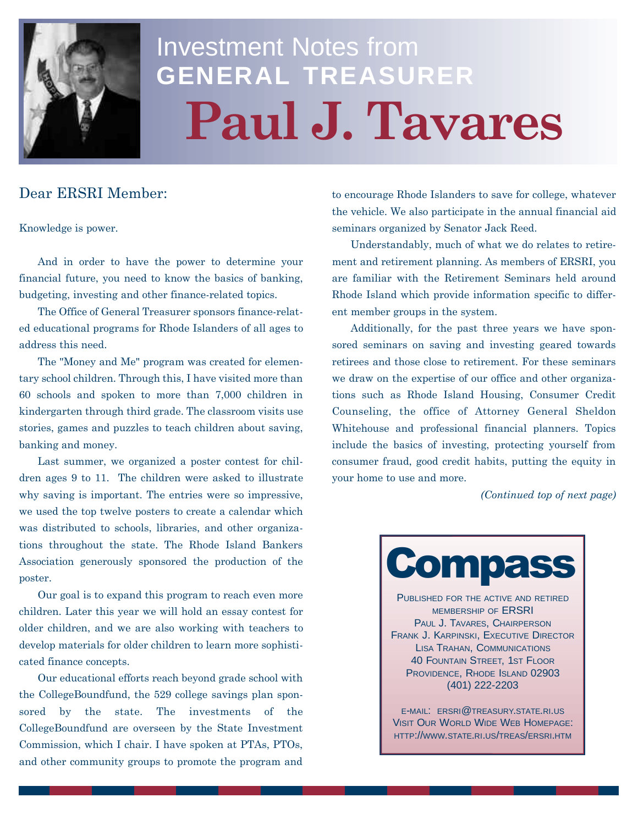

# Investment Notes from **GENERAL TREASURER Paul J. Tavares**

## Dear ERSRI Member:

Knowledge is power.

And in order to have the power to determine your financial future, you need to know the basics of banking, budgeting, investing and other finance-related topics.

The Office of General Treasurer sponsors finance-related educational programs for Rhode Islanders of all ages to address this need.

The "Money and Me" program was created for elementary school children. Through this, I have visited more than 60 schools and spoken to more than 7,000 children in kindergarten through third grade. The classroom visits use stories, games and puzzles to teach children about saving, banking and money.

Last summer, we organized a poster contest for children ages 9 to 11. The children were asked to illustrate why saving is important. The entries were so impressive, we used the top twelve posters to create a calendar which was distributed to schools, libraries, and other organizations throughout the state. The Rhode Island Bankers Association generously sponsored the production of the poster.

Our goal is to expand this program to reach even more children. Later this year we will hold an essay contest for older children, and we are also working with teachers to develop materials for older children to learn more sophisticated finance concepts.

Our educational efforts reach beyond grade school with the CollegeBoundfund, the 529 college savings plan sponsored by the state. The investments of the CollegeBoundfund are overseen by the State Investment Commission, which I chair. I have spoken at PTAs, PTOs, and other community groups to promote the program and

to encourage Rhode Islanders to save for college, whatever the vehicle. We also participate in the annual financial aid seminars organized by Senator Jack Reed.

Understandably, much of what we do relates to retirement and retirement planning. As members of ERSRI, you are familiar with the Retirement Seminars held around Rhode Island which provide information specific to different member groups in the system.

Additionally, for the past three years we have sponsored seminars on saving and investing geared towards retirees and those close to retirement. For these seminars we draw on the expertise of our office and other organizations such as Rhode Island Housing, Consumer Credit Counseling, the office of Attorney General Sheldon Whitehouse and professional financial planners. Topics include the basics of investing, protecting yourself from consumer fraud, good credit habits, putting the equity in your home to use and more.

*(Continued top of next page)*



PUBLISHED FOR THE ACTIVE AND RETIRED MEMBERSHIP OF ERSRI PAUL J. TAVARES, CHAIRPERSON FRANK J. KARPINSKI, EXECUTIVE DIRECTOR LISA TRAHAN, COMMUNICATIONS 40 FOUNTAIN STREET, 1ST FLOOR PROVIDENCE, RHODE ISLAND 02903 (401) 222-2203

E-MAIL: ERSRI@TREASURY.STATE.RI.US VISIT OUR WORLD WIDE WEB HOMEPAGE: HTTP://WWW.STATE.RI.US/TREAS/ERSRI.HTM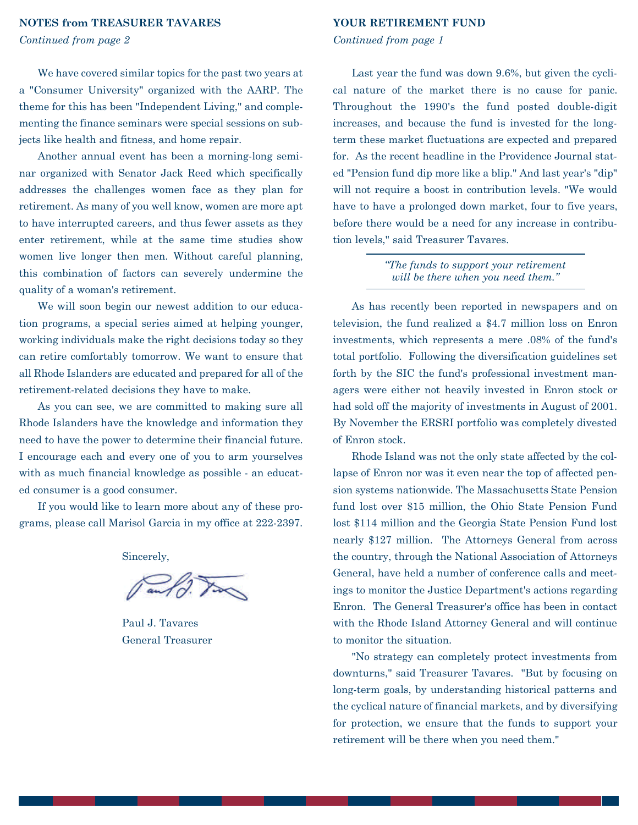#### **NOTES from TREASURER TAVARES**

*Continued from page 2*

### We have covered similar topics for the past two years at a "Consumer University" organized with the AARP. The theme for this has been "Independent Living," and complementing the finance seminars were special sessions on subjects like health and fitness, and home repair.

Another annual event has been a morning-long seminar organized with Senator Jack Reed which specifically addresses the challenges women face as they plan for retirement. As many of you well know, women are more apt to have interrupted careers, and thus fewer assets as they enter retirement, while at the same time studies show women live longer then men. Without careful planning, this combination of factors can severely undermine the quality of a woman's retirement.

We will soon begin our newest addition to our education programs, a special series aimed at helping younger, working individuals make the right decisions today so they can retire comfortably tomorrow. We want to ensure that all Rhode Islanders are educated and prepared for all of the retirement-related decisions they have to make.

As you can see, we are committed to making sure all Rhode Islanders have the knowledge and information they need to have the power to determine their financial future. I encourage each and every one of you to arm yourselves with as much financial knowledge as possible - an educated consumer is a good consumer.

If you would like to learn more about any of these programs, please call Marisol Garcia in my office at 222-2397.

Sincerely,

Paul J. Tavares General Treasurer

#### **YOUR RETIREMENT FUND**

#### *Continued from page 1*

Last year the fund was down 9.6%, but given the cyclical nature of the market there is no cause for panic. Throughout the 1990's the fund posted double-digit increases, and because the fund is invested for the longterm these market fluctuations are expected and prepared for. As the recent headline in the Providence Journal stated "Pension fund dip more like a blip." And last year's "dip" will not require a boost in contribution levels. "We would have to have a prolonged down market, four to five years, before there would be a need for any increase in contribution levels," said Treasurer Tavares.

> *"The funds to support your retirement will be there when you need them."*

As has recently been reported in newspapers and on television, the fund realized a \$4.7 million loss on Enron investments, which represents a mere .08% of the fund's total portfolio. Following the diversification guidelines set forth by the SIC the fund's professional investment managers were either not heavily invested in Enron stock or had sold off the majority of investments in August of 2001. By November the ERSRI portfolio was completely divested of Enron stock.

Rhode Island was not the only state affected by the collapse of Enron nor was it even near the top of affected pension systems nationwide. The Massachusetts State Pension fund lost over \$15 million, the Ohio State Pension Fund lost \$114 million and the Georgia State Pension Fund lost nearly \$127 million. The Attorneys General from across the country, through the National Association of Attorneys General, have held a number of conference calls and meetings to monitor the Justice Department's actions regarding Enron. The General Treasurer's office has been in contact with the Rhode Island Attorney General and will continue to monitor the situation.

"No strategy can completely protect investments from downturns," said Treasurer Tavares. "But by focusing on long-term goals, by understanding historical patterns and the cyclical nature of financial markets, and by diversifying for protection, we ensure that the funds to support your retirement will be there when you need them."